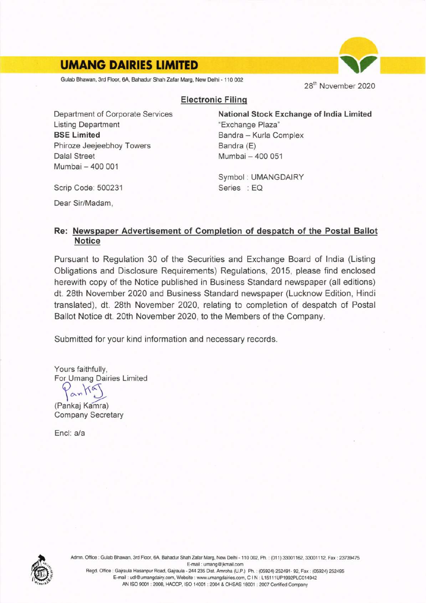## **UMANG DAIRIES LIMITED**

Gulab Bhawan, 3rd Floor, 6A, Bahadur Shah Zafar Marg, New Delhi - 110 002

28<sup>th</sup> November 2020

## Electronic Filinq

Department of Corporate Services Listing Department BSE Limited Phiroze Jeejeebhoy Towers Dalal Street Mumbai - 400 001

National Stock Exchange of lndia Limited "Exchange Plaza" Bandra - Kurla Complex Bandra (E) Mumbai - 400 051

Symbol : UMANGDAIRY Series : EQ

Scrip Code: 500231

Dear Sir/Madam,

## Re: Newspaper Advertisement of Completion of despatch of the Postal Ballot Notice

Pursuant to Regulation 30 of the Securities and Exchange Board of lndia (Listing Obligations and Disclosure Requirements) Regulations, 2015, please find enclosed herewith copy of the Notice published in Business Standard newspaper (all editions) dt. 28th November 2020 and Business Standard newspaper (Lucknow Edition, Hindi translated), dt. 28th November 2020, relating to completion of despatch of Postal Ballot Notice dt. 20th November 2020, to the Members of the Company.

Submitted for your kind information and necessary records.

Yours faithfully, For Umang Dairies Limited

(Pankaj Kamra) Company Secretary

Encl: a/a



Admn. Office: Gulab Bhawan, 3rd Floor, 6A, Bahadur Shah Zafar Marg, New Delhi - 110 002, Ph.: (011) 33001162, 33001112, Fax: 23739475 E-mail : umang@jkmail.com Regd. Office: Gajraula Hasanpur Road, Gajraula - 244 235 Dist. Amroha (U.P.) Ph.: (05924) 252491-92, Fax: (05924) 252495 E-mail: udl@umangdairy.com, Website: www.umangdairies.com, C I N: L15111UP1992PLC014942 AN ISO 9001 : 2008, HACCP, ISO 14001 : 2004 & OHSAS 18001 : 2007 Certified Company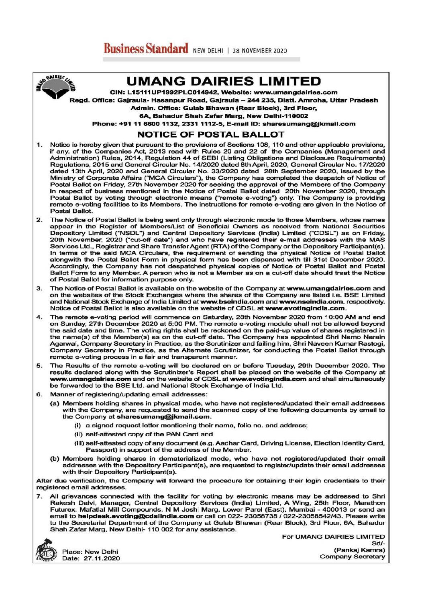**UMANG DAIRIES LIMITED** 

CIN: L15111UP1992PLC014942, Website: www.umangdairies.com

Regd. Office: Gajraula- Hasanpur Road, Gajraula - 244 235, Distt. Amroha, Uttar Pradesh

Admin. Office: Gulab Bhawan (Rear Block), 3rd Floor,

6A, Bahadur Shah Zafar Marg, New Delhi-110002 Phone: +91 11 6600 1132, 2331 1112-5, E-mail ID: sharesumang@jkmail.com

## **NOTICE OF POSTAL BALLOT**

- $1.$ Notice is hereby given that pursuant to the provisions of Sections 108, 110 and other applicable provisions, if any, of the Companies Act, 2013 read with Rules 20 and 22 of the Companies (Management and Administration) Rules, 2014, Regulation 44 of SEBI (Listing Obligations and Disclosure Requirements) Regulations, 2015 and General Circular No. 14/2020 dated 8th April, 2020, General Circular No. 17/2020 dated 13th April, 2020 and General Circular No. 33/2020 dated 28th September 2020, issued by the Ministry of Corporate Affairs ("MCA Circulars"), the Company has completed the despatch of Notice of Postal Ballot on Friday, 27th November 2020 for seeking the approval of the Members of the Company in respect of business mentioned in the Notice of Postal Ballot dated 20th November 2020, through Postal Ballot by voting through electronic means ("remote e-voting") only. The Company is providing remote e-voting facilities to its Members. The instructions for remote e-voting are given in the Notice of **Postal Ballot**
- $\overline{2}$ The Notice of Postal Ballot is being sent only through electronic mode to those Members, whose names appear in the Register of Members/List of Beneficial Owners as received from National Securities Depository Limited ("NSDL") and Central Depository Services (India) Limited ("CDSL") as on Friday, 20th November, 2020 ("cut-off date") and who have registered their e-mail addresses with the MAS Services Ltd., Registrar and Share Transfer Agent (RTA) of the Company or the Depository Participant(s). In terms of the said MCA Circulars, the requirement of sending the physical Notice of Postal Ballot alongwith the Postal Ballot Form in physical form has been dispensed with till 31st December 2020. Accordingly, the Company has not despatched physical copies of Notice of Postal Ballot and Postal Ballot Form to any Member. A person who is not a Member as on a cut-off date should treat the Notice of Postal Ballot for information purpose only.
- The Notice of Postal Ballot is available on the website of the Company at www.umangdairies.com and  $\mathbf{a}$ on the websites of the Stock Exchanges where the shares of the Company are listed i.e. BSE Limited and National Stock Exchange of India Limited at www.bseindia.com and www.nseindia.com, respectively. Notice of Postal Ballot is also available on the website of CDSL at www.evotingindia.com.
- 4. The remote e-voting period will commence on Saturday, 28th November 2020 from 10:00 AM and end on Sunday, 27th December 2020 at 5:00 PM. The remote e-voting module shall not be allowed beyond the said date and time. The voting rights shall be reckoned on the paid-up value of shares registered in the name(s) of the Member(s) as on the cut-off date. The Company has appointed Shri Namo Narain Agarwal, Company Secretary in Practice, as the Scrutinizer and failing him, Shri Naveen Kumar Rastogi, Company Secretary in Practice, as the Alternate Scrutinizer, for conducting the Postal Ballot through remote e-voting process in a fair and transparent manner.
- The Results of the remote e-voting will be declared on or before Tuesday, 29th December 2020. The 5. results declared along with the Scrutinizer's Report shall be placed on the website of the Company at www.umangdairies.com and on the website of CDSL at www.evotingindia.com and shall simultaneously be forwarded to the BSE Ltd. and National Stock Exchange of India Ltd.
- 6. Manner of registering/updating email addresses:
	- (a) Members holding shares in physical mode, who have not registered/updated their email addresses with the Company, are requested to send the scanned copy of the following documents by email to the Company at sharesumang@jkmail.com.
		- (i) a signed request letter mentioning their name, folio no. and address;
		- (ii) self-attested copy of the PAN Card and
		- (iii) self-attested copy of any document (e.g. Aadhar Card, Driving License, Election Identity Card, Passport) in support of the address of the Member.
	- (b) Members holding shares in dematerialized mode, who have not registered/updated their email addresses with the Depository Participant(s), are requested to register/update their email addresses with their Depository Participant(s).

After due verification, the Company will forward the procedure for obtaining their login credentials to their registered email addresses.

 $\overline{7}$ . All grievances connected with the facility for voting by electronic means may be addressed to Shri Rakesh Dalvi, Manager, Central Depository Services (India) Limited, A Wing, 25th Floor, Marathon Futurex, Mafatlal Mill Compounds, N M Joshi Marg, Lower Parel (East), Mumbai - 400013 or send an email to helpdesk.evoting@cdslindia.com or call on 022-23058738 / 022-23058542/43. Please write to the Secretarial Department of the Company at Gulab Bhawan (Rear Block), 3rd Floor, 6A, Bahadur Shah Zafar Marg, New Delhi- 110 002 for any assistance.



**SAIRIES LINES** 

Place: New Delhi Date: 27.11.2020 For UMANG DAIRIES LIMITED  $Sd-$ (Pankaj Kamra) **Company Secretary**